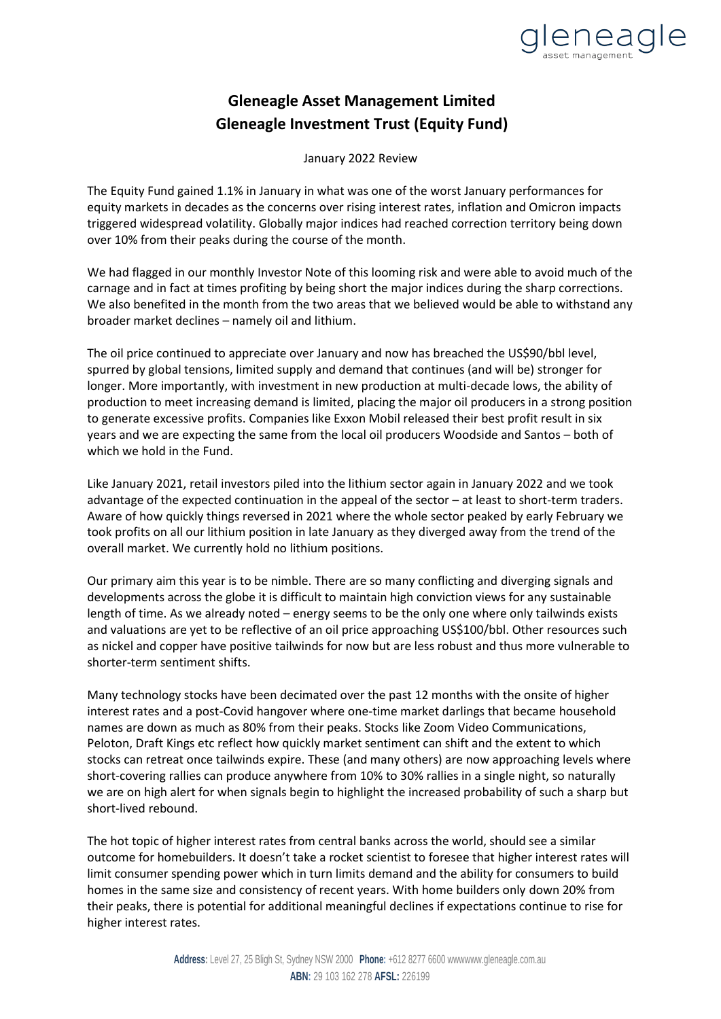

## **Gleneagle Asset Management Limited Gleneagle Investment Trust (Equity Fund)**

January 2022 Review

The Equity Fund gained 1.1% in January in what was one of the worst January performances for equity markets in decades as the concerns over rising interest rates, inflation and Omicron impacts triggered widespread volatility. Globally major indices had reached correction territory being down over 10% from their peaks during the course of the month.

We had flagged in our monthly Investor Note of this looming risk and were able to avoid much of the carnage and in fact at times profiting by being short the major indices during the sharp corrections. We also benefited in the month from the two areas that we believed would be able to withstand any broader market declines – namely oil and lithium.

The oil price continued to appreciate over January and now has breached the US\$90/bbl level, spurred by global tensions, limited supply and demand that continues (and will be) stronger for longer. More importantly, with investment in new production at multi-decade lows, the ability of production to meet increasing demand is limited, placing the major oil producers in a strong position to generate excessive profits. Companies like Exxon Mobil released their best profit result in six years and we are expecting the same from the local oil producers Woodside and Santos – both of which we hold in the Fund.

Like January 2021, retail investors piled into the lithium sector again in January 2022 and we took advantage of the expected continuation in the appeal of the sector – at least to short-term traders. Aware of how quickly things reversed in 2021 where the whole sector peaked by early February we took profits on all our lithium position in late January as they diverged away from the trend of the overall market. We currently hold no lithium positions.

Our primary aim this year is to be nimble. There are so many conflicting and diverging signals and developments across the globe it is difficult to maintain high conviction views for any sustainable length of time. As we already noted – energy seems to be the only one where only tailwinds exists and valuations are yet to be reflective of an oil price approaching US\$100/bbl. Other resources such as nickel and copper have positive tailwinds for now but are less robust and thus more vulnerable to shorter-term sentiment shifts.

Many technology stocks have been decimated over the past 12 months with the onsite of higher interest rates and a post-Covid hangover where one-time market darlings that became household names are down as much as 80% from their peaks. Stocks like Zoom Video Communications, Peloton, Draft Kings etc reflect how quickly market sentiment can shift and the extent to which stocks can retreat once tailwinds expire. These (and many others) are now approaching levels where short-covering rallies can produce anywhere from 10% to 30% rallies in a single night, so naturally we are on high alert for when signals begin to highlight the increased probability of such a sharp but short-lived rebound.

The hot topic of higher interest rates from central banks across the world, should see a similar outcome for homebuilders. It doesn't take a rocket scientist to foresee that higher interest rates will limit consumer spending power which in turn limits demand and the ability for consumers to build homes in the same size and consistency of recent years. With home builders only down 20% from their peaks, there is potential for additional meaningful declines if expectations continue to rise for higher interest rates.